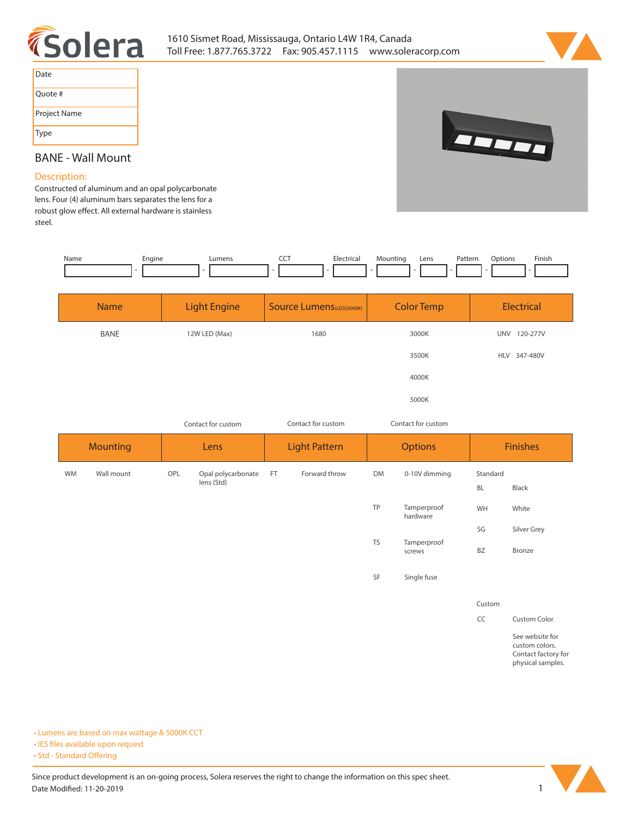



| Date         |
|--------------|
| Quote #      |
| Project Name |
| Type         |



## **BANE - Wall Mount**

## **Description:**

**Constructed of aluminum and an opal polycarbonate lens. Four (4) aluminum bars separates the lens for a**  robust glow effect. All external hardware is stainless **steel.** 

| Name        | Engine | Lumens<br>$\overline{\phantom{a}}$ | <b>CCT</b><br>Electrical<br>٠     | Mounting<br>Pattern<br>Lens | Finish<br>Options |  |
|-------------|--------|------------------------------------|-----------------------------------|-----------------------------|-------------------|--|
| <b>Name</b> |        | <b>Light Engine</b>                | <b>Source Lumens</b> (LED)(5000K) | <b>Color Temp</b>           | <b>Electrical</b> |  |
|             | BANE   | 12W LED (Max)                      | 1680                              | 3000K                       | UNV 120-277V      |  |
|             |        |                                    |                                   | 3500K                       | HLV 347-480V      |  |
|             |        |                                    |                                   | 4000K                       |                   |  |
|             |        |                                    |                                   | 5000K                       |                   |  |

*Contact for custom Contact for custom*

*Contact for custom*

| <b>Mounting</b> |            | Lens |                                  | <b>Light Pattern</b> |               | <b>Options</b> |                         | <b>Finishes</b> |                                                          |
|-----------------|------------|------|----------------------------------|----------------------|---------------|----------------|-------------------------|-----------------|----------------------------------------------------------|
| <b>WM</b>       | Wall mount | OPL  | Opal polycarbonate<br>lens (Std) | FT                   | Forward throw | DM             | 0-10V dimming           | Standard        |                                                          |
|                 |            |      |                                  |                      |               |                |                         | BL              | Black                                                    |
|                 |            |      |                                  |                      |               | TP             | Tamperproof<br>hardware | WH              | White                                                    |
|                 |            |      |                                  |                      |               |                |                         | SG              | Silver Grey                                              |
|                 |            |      |                                  |                      |               | <b>TS</b>      | Tamperproof<br>screws   | BZ              | Bronze                                                   |
|                 |            |      |                                  |                      |               | SF             | Single fuse             |                 |                                                          |
|                 |            |      |                                  |                      |               |                |                         | Custom          |                                                          |
|                 |            |      |                                  |                      |               |                |                         | CC              | Custom Color                                             |
|                 |            |      |                                  |                      |               |                |                         |                 | See website for<br>custom colors.<br>Contact factory for |

**• Lumens are based on max wattage & 5000K CCT**

**• IES files available upon request** 

• Std - Standard Offering

Since product development is an on-going process, Solera reserves the right to change the information on this spec sheet. **Date Modified: 11-20-2019** 1



**physical samples.**